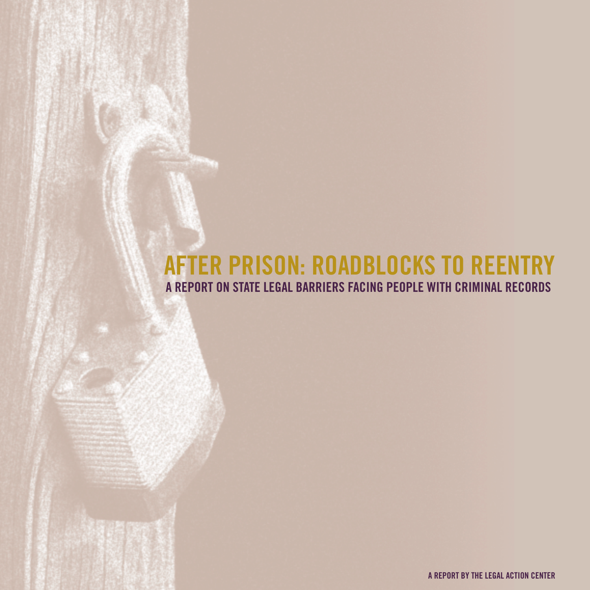# **AFTER PRISON: ROADBLOCKS TO REENTRY A REPORT ON STATE LEGAL BARRIERS FACING PEOPLE WITH CRIMINAL RECORDS**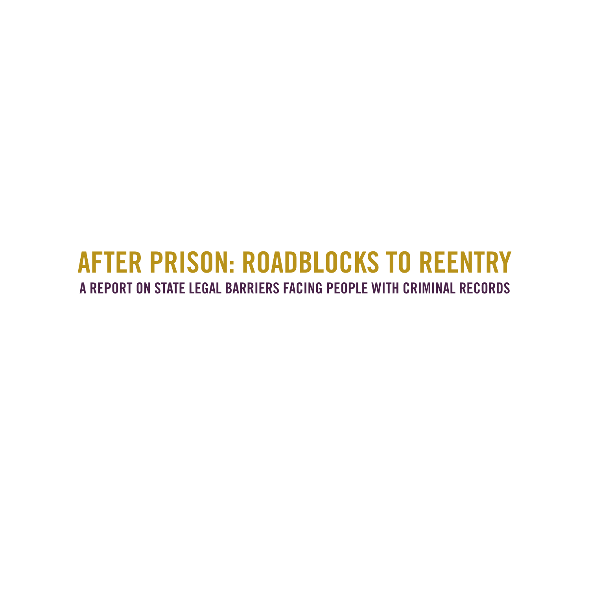# **AFTER PRISON: ROADBLOCKS TO REENTRY A REPORT ON STATE LEGAL BARRIERS FACING PEOPLE WITH CRIMINAL RECORDS**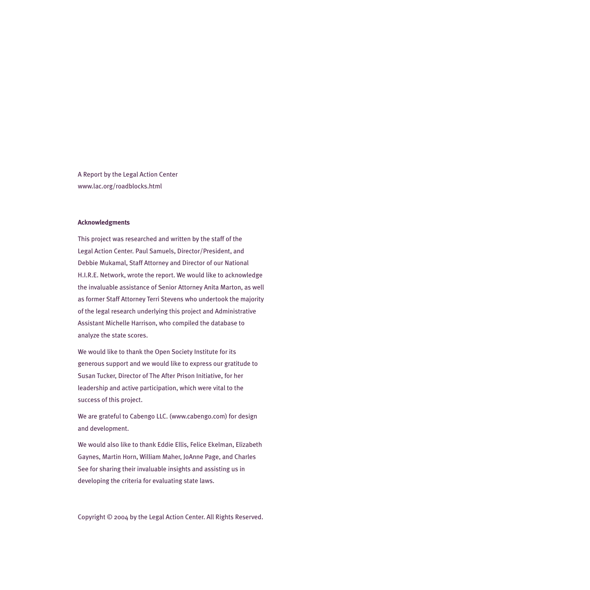A Report by the Legal Action Center www.lac.org/roadblocks.html

#### **Acknowledgments**

This project was researched and written by the staff of the Legal Action Center. Paul Samuels, Director/President, and Debbie Mukamal, Staff Attorney and Director of our National H.I.R.E. Network, wrote the report. We would like to acknowledge the invaluable assistance of Senior Attorney Anita Marton, as well as former Staff Attorney Terri Stevens who undertook the majority of the legal research underlying this project and Administrative Assistant Michelle Harrison, who compiled the database to analyze the state scores.

We would like to thank the Open Society Institute for its generous support and we would like to express our gratitude to Susan Tucker, Director of The After Prison Initiative, for her leadership and active participation, which were vital to the success of this project.

We are grateful to Cabengo LLC. (www.cabengo.com) for design and development.

We would also like to thank Eddie Ellis, Felice Ekelman, Elizabeth Gaynes, Martin Horn, William Maher, JoAnne Page, and Charles See for sharing their invaluable insights and assisting us in developing the criteria for evaluating state laws.

Copyright © 2004 by the Legal Action Center. All Rights Reserved.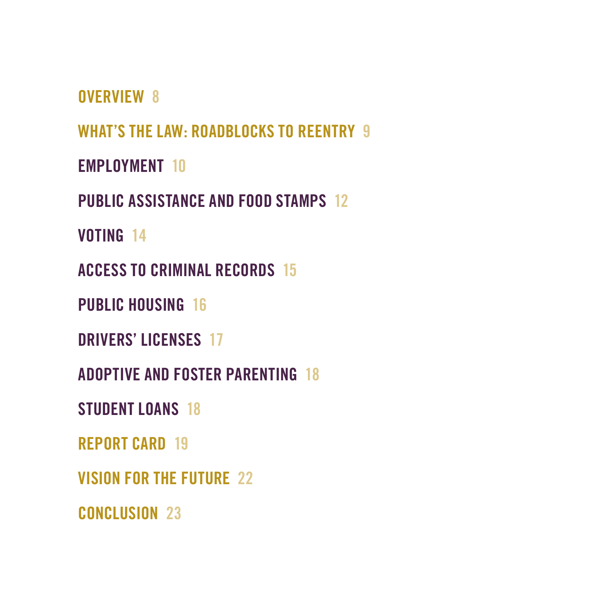**OVERVIEW 8**

**WHAT'S THE LAW: ROADBLOCKS TO REENTRY 9**

**EMPLOYMENT 10**

**PUBLIC ASSISTANCE AND FOOD STAMPS 12**

**VOTING 14**

**ACCESS TO CRIMINAL RECORDS 15**

**PUBLIC HOUSING 16**

**DRIVERS' LICENSES 17**

**ADOPTIVE AND FOSTER PARENTING 18**

**STUDENT LOANS 18**

**REPORT CARD 19**

**VISION FOR THE FUTURE 22**

**CONCLUSION 23**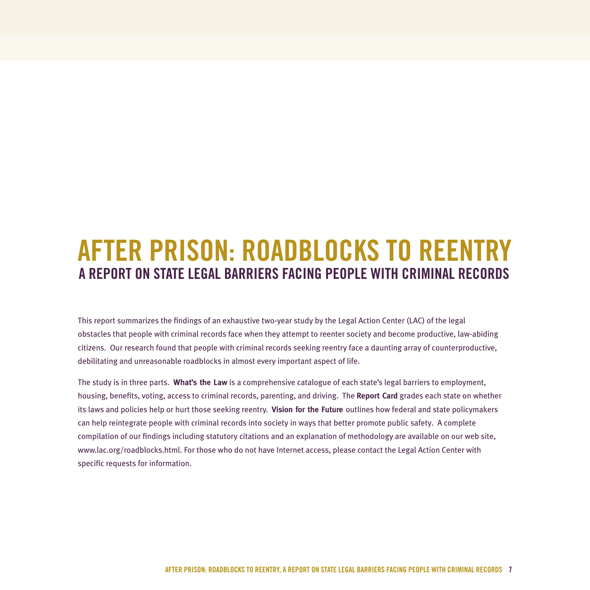# **AFTER PRISON: ROADBLOCKS TO REENTRY A REPORT ON STATE LEGAL BARRIERS FACING PEOPLE WITH CRIMINAL RECORDS**

This report summarizes the findings of an exhaustive two-year study by the Legal Action Center (LAC) of the legal obstacles that people with criminal records face when they attempt to reenter society and become productive, law-abiding citizens. Our research found that people with criminal records seeking reentry face a daunting array of counterproductive, debilitating and unreasonable roadblocks in almost every important aspect of life.

The study is in three parts. **What's the Law** is a comprehensive catalogue of each state's legal barriers to employment, housing, benefits, voting, access to criminal records, parenting, and driving. The **Report Card** grades each state on whether its laws and policies help or hurt those seeking reentry. **Vision for the Future** outlines how federal and state policymakers can help reintegrate people with criminal records into society in ways that better promote public safety. A complete compilation of our findings including statutory citations and an explanation of methodology are available on our web site, www.lac.org/roadblocks.html. For those who do not have Internet access, please contact the Legal Action Center with specific requests for information.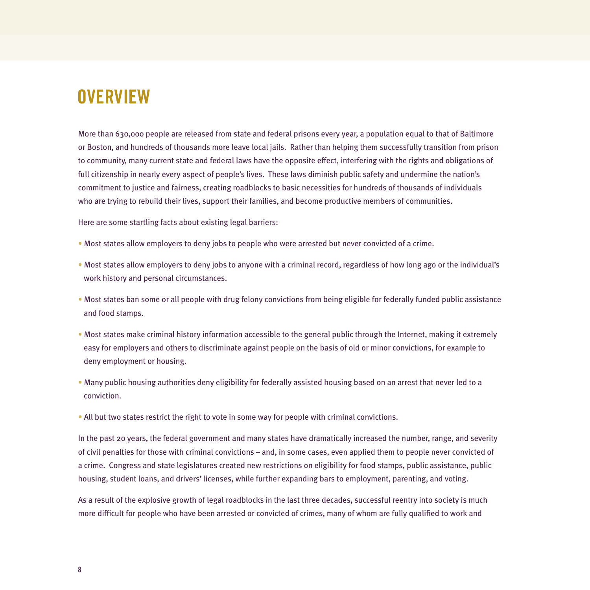# **OVERVIEW**

More than 630,000 people are released from state and federal prisons every year, a population equal to that of Baltimore or Boston, and hundreds of thousands more leave local jails. Rather than helping them successfully transition from prison to community, many current state and federal laws have the opposite effect, interfering with the rights and obligations of full citizenship in nearly every aspect of people's lives. These laws diminish public safety and undermine the nation's commitment to justice and fairness, creating roadblocks to basic necessities for hundreds of thousands of individuals who are trying to rebuild their lives, support their families, and become productive members of communities.

Here are some startling facts about existing legal barriers:

- Most states allow employers to deny jobs to people who were arrested but never convicted of a crime.
- Most states allow employers to deny jobs to anyone with a criminal record, regardless of how long ago or the individual's work history and personal circumstances.
- Most states ban some or all people with drug felony convictions from being eligible for federally funded public assistance and food stamps.
- Most states make criminal history information accessible to the general public through the Internet, making it extremely easy for employers and others to discriminate against people on the basis of old or minor convictions, for example to deny employment or housing.
- Many public housing authorities deny eligibility for federally assisted housing based on an arrest that never led to a conviction.
- All but two states restrict the right to vote in some way for people with criminal convictions.

In the past 20 years, the federal government and many states have dramatically increased the number, range, and severity of civil penalties for those with criminal convictions – and, in some cases, even applied them to people never convicted of a crime. Congress and state legislatures created new restrictions on eligibility for food stamps, public assistance, public housing, student loans, and drivers' licenses, while further expanding bars to employment, parenting, and voting.

As a result of the explosive growth of legal roadblocks in the last three decades, successful reentry into society is much more difficult for people who have been arrested or convicted of crimes, many of whom are fully qualified to work and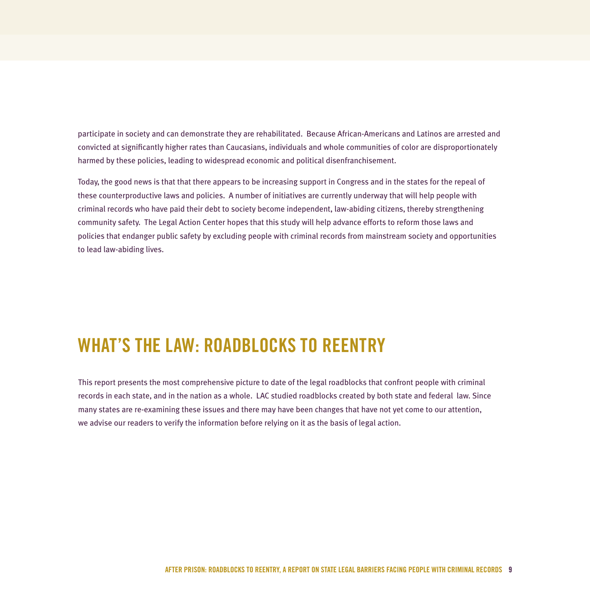participate in society and can demonstrate they are rehabilitated. Because African-Americans and Latinos are arrested and convicted at significantly higher rates than Caucasians, individuals and whole communities of color are disproportionately harmed by these policies, leading to widespread economic and political disenfranchisement.

Today, the good news is that that there appears to be increasing support in Congress and in the states for the repeal of these counterproductive laws and policies. A number of initiatives are currently underway that will help people with criminal records who have paid their debt to society become independent, law-abiding citizens, thereby strengthening community safety. The Legal Action Center hopes that this study will help advance efforts to reform those laws and policies that endanger public safety by excluding people with criminal records from mainstream society and opportunities to lead law-abiding lives.

# **WHAT'S THE LAW: ROADBLOCKS TO REENTRY**

This report presents the most comprehensive picture to date of the legal roadblocks that confront people with criminal records in each state, and in the nation as a whole. LAC studied roadblocks created by both state and federal law. Since many states are re-examining these issues and there may have been changes that have not yet come to our attention, we advise our readers to verify the information before relying on it as the basis of legal action.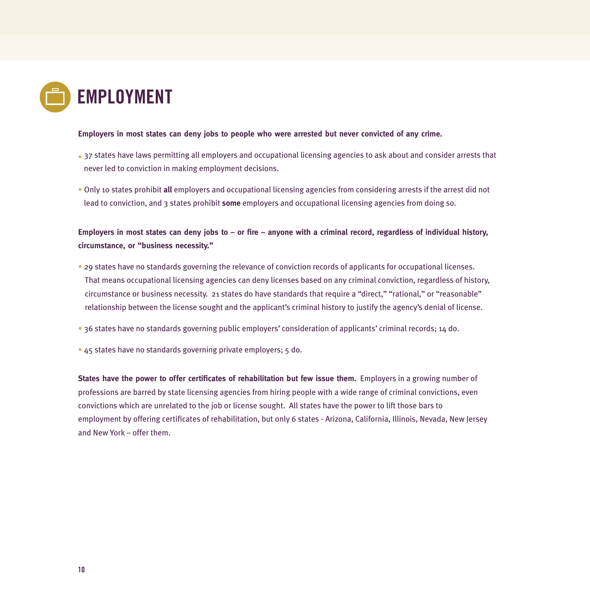

#### **Employers in most states can deny jobs to people who were arrested but never convicted of any crime.**

- 37 states have laws permitting all employers and occupational licensing agencies to ask about and consider arrests that never led to conviction in making employment decisions.
- Only 10 states prohibit **all** employers and occupational licensing agencies from considering arrests if the arrest did not lead to conviction, and 3 states prohibit **some** employers and occupational licensing agencies from doing so.

#### **Employers in most states can deny jobs to – or fire – anyone with a criminal record, regardless of individual history, circumstance, or "business necessity."**

- 29 states have no standards governing the relevance of conviction records of applicants for occupational licenses. That means occupational licensing agencies can deny licenses based on any criminal conviction, regardless of history, circumstance or business necessity. 21 states do have standards that require a "direct," "rational," or "reasonable" relationship between the license sought and the applicant's criminal history to justify the agency's denial of license.
- 36 states have no standards governing public employers' consideration of applicants' criminal records; 14 do.
- 45 states have no standards governing private employers; 5 do.

**States have the power to offer certificates of rehabilitation but few issue them.** Employers in a growing number of professions are barred by state licensing agencies from hiring people with a wide range of criminal convictions, even convictions which are unrelated to the job or license sought. All states have the power to lift those bars to employment by offering certificates of rehabilitation, but only 6 states - Arizona, California, Illinois, Nevada, New Jersey and New York – offer them.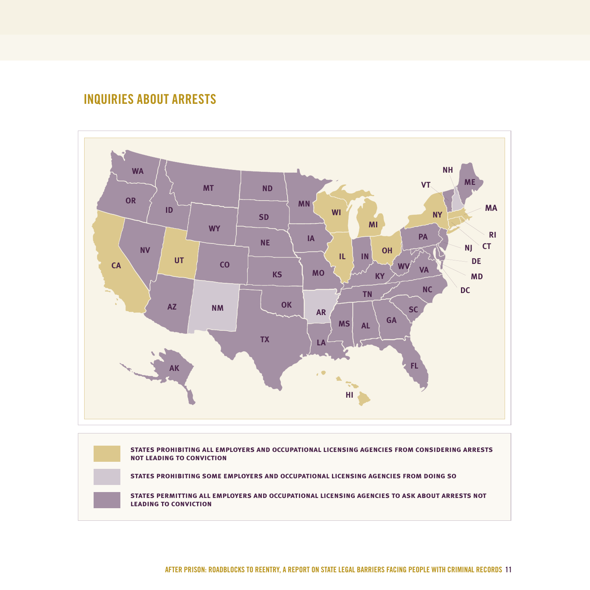### **INQUIRIES ABOUT ARRESTS**



**states prohibiting all employers and occupational licensing agencies from considering arrests not leading to conviction**

**states prohibiting some employers and occupational licensing agencies from doing so**

**states permitting all employers and occupational licensing agencies to ask about arrests not leading to conviction**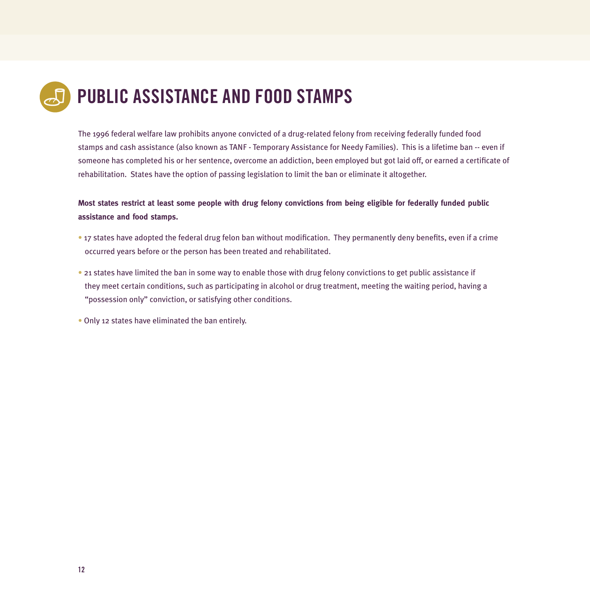# **PUBLIC ASSISTANCE AND FOOD STAMPS**

The 1996 federal welfare law prohibits anyone convicted of a drug-related felony from receiving federally funded food stamps and cash assistance (also known as TANF - Temporary Assistance for Needy Families). This is a lifetime ban -- even if someone has completed his or her sentence, overcome an addiction, been employed but got laid off, or earned a certificate of rehabilitation. States have the option of passing legislation to limit the ban or eliminate it altogether.

#### **Most states restrict at least some people with drug felony convictions from being eligible for federally funded public assistance and food stamps.**

- 17 states have adopted the federal drug felon ban without modification. They permanently deny benefits, even if a crime occurred years before or the person has been treated and rehabilitated.
- 21 states have limited the ban in some way to enable those with drug felony convictions to get public assistance if they meet certain conditions, such as participating in alcohol or drug treatment, meeting the waiting period, having a "possession only" conviction, or satisfying other conditions.
- Only 12 states have eliminated the ban entirely.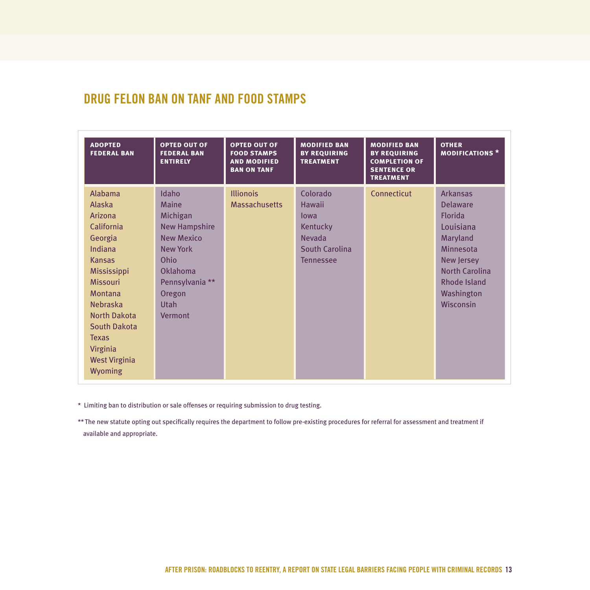## **DRUG FELON BAN ON TANF AND FOOD STAMPS**

| <b>ADOPTED</b><br><b>FEDERAL BAN</b>                                                                                                                                                                                                                                  | <b>OPTED OUT OF</b><br><b>FEDERAL BAN</b><br><b>ENTIRELY</b>                                                                                                                        | <b>OPTED OUT OF</b><br><b>FOOD STAMPS</b><br><b>AND MODIFIED</b><br><b>BAN ON TANF</b> | <b>MODIFIED BAN</b><br><b>BY REQUIRING</b><br><b>TREATMENT</b>                                       | <b>MODIFIED BAN</b><br><b>BY REQUIRING</b><br><b>COMPLETION OF</b><br><b>SENTENCE OR</b><br><b>TREATMENT</b> | <b>OTHER</b><br><b>MODIFICATIONS*</b>                                                                                                                                               |
|-----------------------------------------------------------------------------------------------------------------------------------------------------------------------------------------------------------------------------------------------------------------------|-------------------------------------------------------------------------------------------------------------------------------------------------------------------------------------|----------------------------------------------------------------------------------------|------------------------------------------------------------------------------------------------------|--------------------------------------------------------------------------------------------------------------|-------------------------------------------------------------------------------------------------------------------------------------------------------------------------------------|
| Alabama<br>Alaska<br>Arizona<br>California<br>Georgia<br>Indiana<br><b>Kansas</b><br>Mississippi<br><b>Missouri</b><br><b>Montana</b><br><b>Nebraska</b><br><b>North Dakota</b><br><b>South Dakota</b><br><b>Texas</b><br>Virginia<br><b>West Virginia</b><br>Wyoming | Idaho<br>Maine<br>Michigan<br><b>New Hampshire</b><br><b>New Mexico</b><br><b>New York</b><br>Ohio<br><b>Oklahoma</b><br>Pennsylvania **<br>Oregon<br><b>Utah</b><br><b>Vermont</b> | <b>Illionois</b><br><b>Massachusetts</b>                                               | Colorado<br>Hawaii<br>lowa<br>Kentucky<br><b>Nevada</b><br><b>South Carolina</b><br><b>Tennessee</b> | Connecticut                                                                                                  | <b>Arkansas</b><br><b>Delaware</b><br><b>Florida</b><br>Louisiana<br>Maryland<br>Minnesota<br>New Jersey<br><b>North Carolina</b><br><b>Rhode Island</b><br>Washington<br>Wisconsin |

\* Limiting ban to distribution or sale offenses or requiring submission to drug testing.

\*\* The new statute opting out specifically requires the department to follow pre-existing procedures for referral for assessment and treatment if available and appropriate.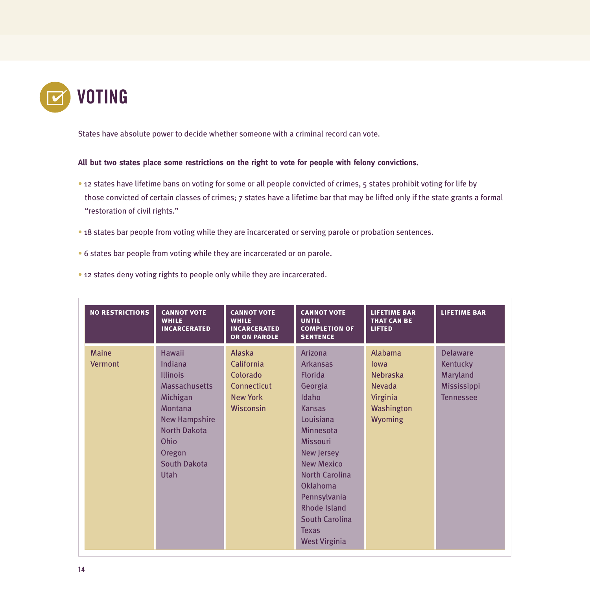

States have absolute power to decide whether someone with a criminal record can vote.

#### **All but two states place some restrictions on the right to vote for people with felony convictions.**

- 12 states have lifetime bans on voting for some or all people convicted of crimes, 5 states prohibit voting for life by those convicted of certain classes of crimes; 7 states have a lifetime bar that may be lifted only if the state grants a formal "restoration of civil rights."
- 18 states bar people from voting while they are incarcerated or serving parole or probation sentences.
- 6 states bar people from voting while they are incarcerated or on parole.
- 12 states deny voting rights to people only while they are incarcerated.

| <b>NO RESTRICTIONS</b>  | <b>CANNOT VOTE</b><br><b>WHILE</b><br><b>INCARCERATED</b>                                                                                                                                         | <b>CANNOT VOTE</b><br><b>WHILE</b><br><b>INCARCERATED</b><br>OR ON PAROLE              | <b>CANNOT VOTE</b><br><b>UNTIL</b><br><b>COMPLETION OF</b><br><b>SENTENCE</b>                                                                                                                                                                                                                                         | <b>LIFETIME BAR</b><br><b>THAT CAN BE</b><br><b>LIFTED</b>                                             | <b>LIFETIME BAR</b>                                                        |
|-------------------------|---------------------------------------------------------------------------------------------------------------------------------------------------------------------------------------------------|----------------------------------------------------------------------------------------|-----------------------------------------------------------------------------------------------------------------------------------------------------------------------------------------------------------------------------------------------------------------------------------------------------------------------|--------------------------------------------------------------------------------------------------------|----------------------------------------------------------------------------|
| <b>Maine</b><br>Vermont | <b>Hawaii</b><br>Indiana<br><b>Illinois</b><br><b>Massachusetts</b><br>Michigan<br>Montana<br><b>New Hampshire</b><br><b>North Dakota</b><br>Ohio<br>Oregon<br><b>South Dakota</b><br><b>Utah</b> | Alaska<br>California<br>Colorado<br>Connecticut<br><b>New York</b><br><b>Wisconsin</b> | Arizona<br><b>Arkansas</b><br><b>Florida</b><br>Georgia<br>Idaho<br><b>Kansas</b><br>Louisiana<br>Minnesota<br><b>Missouri</b><br><b>New Jersey</b><br><b>New Mexico</b><br><b>North Carolina</b><br>Oklahoma<br>Pennsylvania<br><b>Rhode Island</b><br><b>South Carolina</b><br><b>Texas</b><br><b>West Virginia</b> | <b>Alabama</b><br>lowa<br><b>Nebraska</b><br><b>Nevada</b><br>Virginia<br>Washington<br><b>Wyoming</b> | <b>Delaware</b><br>Kentucky<br>Maryland<br>Mississippi<br><b>Tennessee</b> |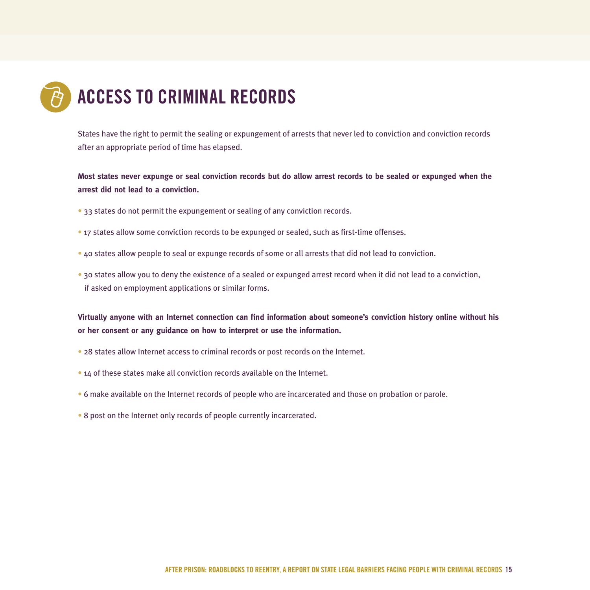# **ACCESS TO CRIMINAL RECORDS**

States have the right to permit the sealing or expungement of arrests that never led to conviction and conviction records after an appropriate period of time has elapsed.

**Most states never expunge or seal conviction records but do allow arrest records to be sealed or expunged when the arrest did not lead to a conviction.**

- 33 states do not permit the expungement or sealing of any conviction records.
- 17 states allow some conviction records to be expunged or sealed, such as first-time offenses.
- 40 states allow people to seal or expunge records of some or all arrests that did not lead to conviction.
- 30 states allow you to deny the existence of a sealed or expunged arrest record when it did not lead to a conviction, if asked on employment applications or similar forms.

**Virtually anyone with an Internet connection can find information about someone's conviction history online without his or her consent or any guidance on how to interpret or use the information.**

- 28 states allow Internet access to criminal records or post records on the Internet.
- 14 of these states make all conviction records available on the Internet.
- 6 make available on the Internet records of people who are incarcerated and those on probation or parole.
- 8 post on the Internet only records of people currently incarcerated.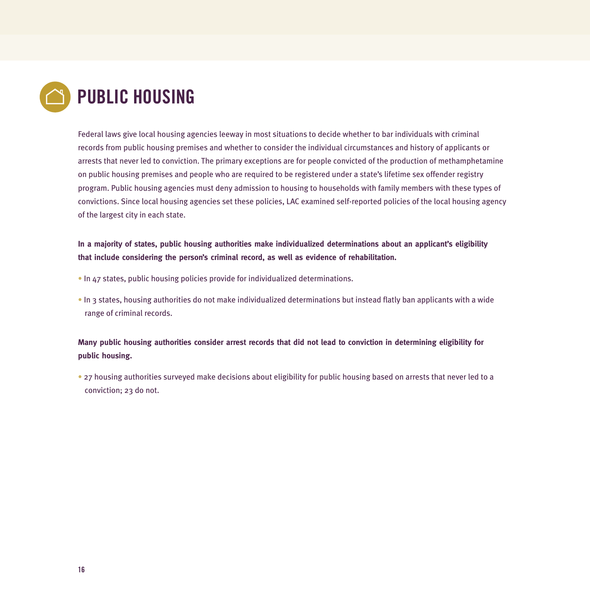

Federal laws give local housing agencies leeway in most situations to decide whether to bar individuals with criminal records from public housing premises and whether to consider the individual circumstances and history of applicants or arrests that never led to conviction. The primary exceptions are for people convicted of the production of methamphetamine on public housing premises and people who are required to be registered under a state's lifetime sex offender registry program. Public housing agencies must deny admission to housing to households with family members with these types of convictions. Since local housing agencies set these policies, LAC examined self-reported policies of the local housing agency of the largest city in each state.

#### **In a majority of states, public housing authorities make individualized determinations about an applicant's eligibility that include considering the person's criminal record, as well as evidence of rehabilitation.**

- In 47 states, public housing policies provide for individualized determinations.
- In 3 states, housing authorities do not make individualized determinations but instead flatly ban applicants with a wide range of criminal records.

#### **Many public housing authorities consider arrest records that did not lead to conviction in determining eligibility for public housing.**

• 27 housing authorities surveyed make decisions about eligibility for public housing based on arrests that never led to a conviction; 23 do not.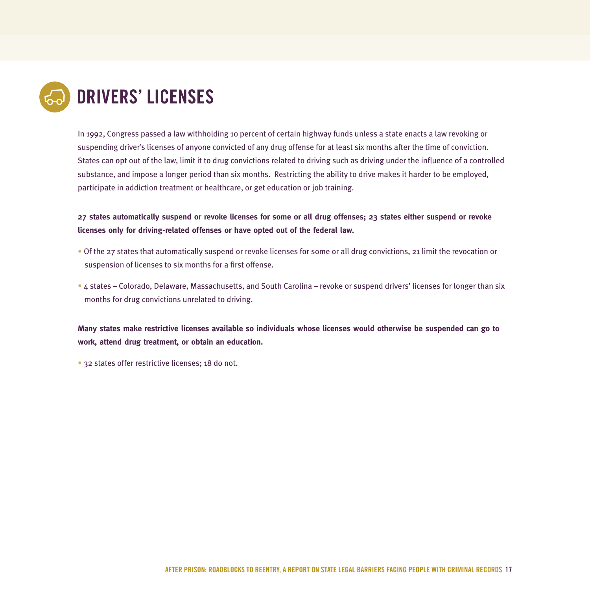

In 1992, Congress passed a law withholding 10 percent of certain highway funds unless a state enacts a law revoking or suspending driver's licenses of anyone convicted of any drug offense for at least six months after the time of conviction. States can opt out of the law, limit it to drug convictions related to driving such as driving under the influence of a controlled substance, and impose a longer period than six months. Restricting the ability to drive makes it harder to be employed, participate in addiction treatment or healthcare, or get education or job training.

**27 states automatically suspend or revoke licenses for some or all drug offenses; 23 states either suspend or revoke licenses only for driving-related offenses or have opted out of the federal law.**

- Of the 27 states that automatically suspend or revoke licenses for some or all drug convictions, 21 limit the revocation or suspension of licenses to six months for a first offense.
- 4 states Colorado, Delaware, Massachusetts, and South Carolina revoke or suspend drivers' licenses for longer than six months for drug convictions unrelated to driving.

**Many states make restrictive licenses available so individuals whose licenses would otherwise be suspended can go to work, attend drug treatment, or obtain an education.**

• 32 states offer restrictive licenses; 18 do not.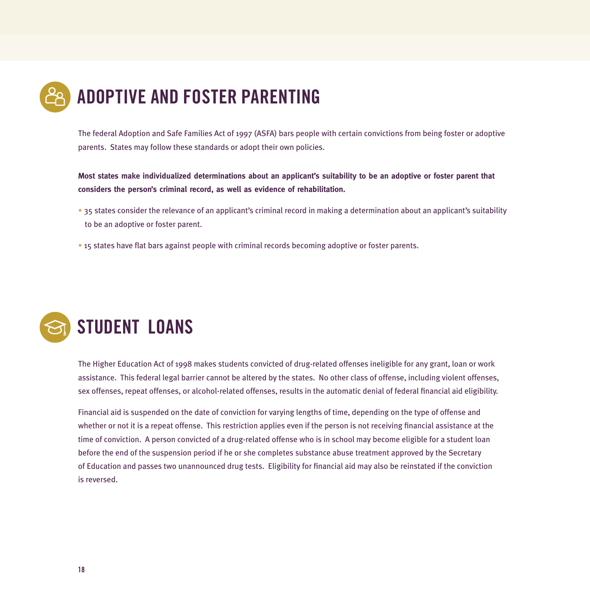

The federal Adoption and Safe Families Act of 1997 (ASFA) bars people with certain convictions from being foster or adoptive parents. States may follow these standards or adopt their own policies.

**Most states make individualized determinations about an applicant's suitability to be an adoptive or foster parent that considers the person's criminal record, as well as evidence of rehabilitation.**

- 35 states consider the relevance of an applicant's criminal record in making a determination about an applicant's suitability to be an adoptive or foster parent.
- 15 states have flat bars against people with criminal records becoming adoptive or foster parents.



The Higher Education Act of 1998 makes students convicted of drug-related offenses ineligible for any grant, loan or work assistance. This federal legal barrier cannot be altered by the states. No other class of offense, including violent offenses, sex offenses, repeat offenses, or alcohol-related offenses, results in the automatic denial of federal financial aid eligibility.

Financial aid is suspended on the date of conviction for varying lengths of time, depending on the type of offense and whether or not it is a repeat offense. This restriction applies even if the person is not receiving financial assistance at the time of conviction. A person convicted of a drug-related offense who is in school may become eligible for a student loan before the end of the suspension period if he or she completes substance abuse treatment approved by the Secretary of Education and passes two unannounced drug tests. Eligibility for financial aid may also be reinstated if the conviction is reversed.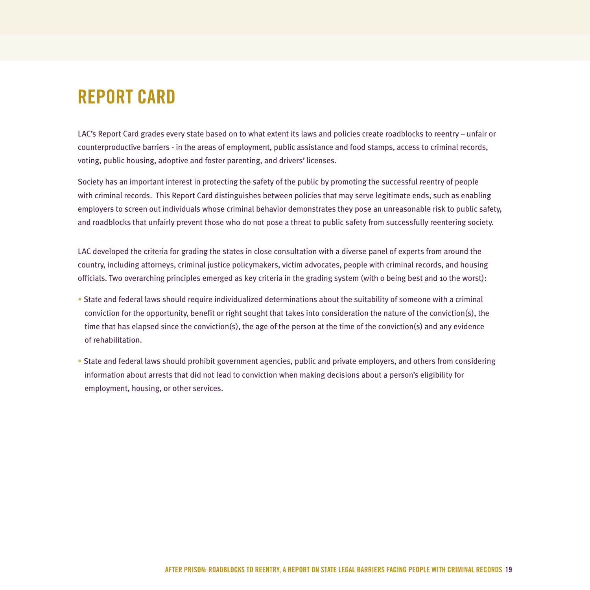# **REPORT CARD**

LAC's Report Card grades every state based on to what extent its laws and policies create roadblocks to reentry – unfair or counterproductive barriers - in the areas of employment, public assistance and food stamps, access to criminal records, voting, public housing, adoptive and foster parenting, and drivers' licenses.

Society has an important interest in protecting the safety of the public by promoting the successful reentry of people with criminal records. This Report Card distinguishes between policies that may serve legitimate ends, such as enabling employers to screen out individuals whose criminal behavior demonstrates they pose an unreasonable risk to public safety, and roadblocks that unfairly prevent those who do not pose a threat to public safety from successfully reentering society.

LAC developed the criteria for grading the states in close consultation with a diverse panel of experts from around the country, including attorneys, criminal justice policymakers, victim advocates, people with criminal records, and housing officials. Two overarching principles emerged as key criteria in the grading system (with 0 being best and 10 the worst):

- State and federal laws should require individualized determinations about the suitability of someone with a criminal conviction for the opportunity, benefit or right sought that takes into consideration the nature of the conviction(s), the time that has elapsed since the conviction(s), the age of the person at the time of the conviction(s) and any evidence of rehabilitation.
- State and federal laws should prohibit government agencies, public and private employers, and others from considering information about arrests that did not lead to conviction when making decisions about a person's eligibility for employment, housing, or other services.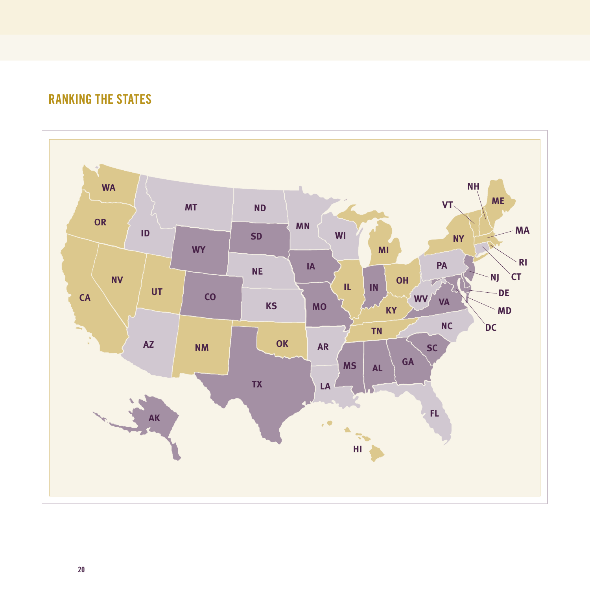

## **RANKING THE STATES**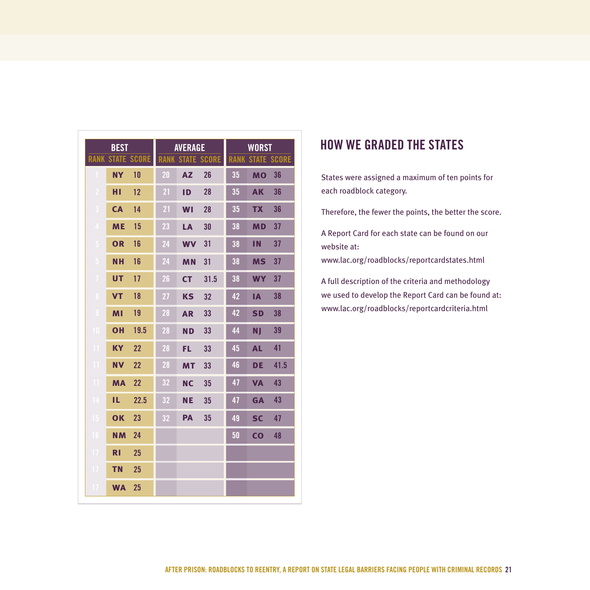| <b>BEST</b>    |              | <b>AVERAGE</b> |             |           | <b>WORST</b>       |             |                |                    |
|----------------|--------------|----------------|-------------|-----------|--------------------|-------------|----------------|--------------------|
| <b>RANK</b>    | <b>STATE</b> | <b>SCORE</b>   | <b>RANK</b> |           | <b>STATE SCORE</b> | <b>RANK</b> |                | <b>STATE SCORE</b> |
|                | <b>NY</b>    | 10             | 20          | <b>AZ</b> | 26                 | 35          | <b>MO</b>      | 36                 |
| -2             | нı           | 12             | 21          | <b>ID</b> | 28                 | 35          | <b>AK</b>      | 36                 |
| з              | <b>CA</b>    | 14             | 21          | WI        | 28                 | 35          | <b>TX</b>      | 36                 |
| $\overline{4}$ | <b>ME</b>    | 15             | 23          | LA        | 30                 | 38          | <b>MD</b>      | 37                 |
| 5              | <b>OR</b>    | 16             | 24          | <b>WV</b> | 31                 | 38          | ΠN             | 37                 |
| 5              | <b>NH</b>    | 16             | 24          | <b>MN</b> | 31                 | 38          | <b>MS</b>      | 37                 |
| 7              | <b>UT</b>    | 17             | 26          | <b>CT</b> | 31.5               | 38          | <b>WY</b>      | 37                 |
| -8             | <b>VT</b>    | 18             | 27          | <b>KS</b> | 32                 | 42          | <b>IA</b>      | 38                 |
| 9              | MI           | 19             | 28          | <b>AR</b> | 33                 | 42          | <b>SD</b>      | 38                 |
| 10             | OH           | 19.5           | 28          | <b>ND</b> | 33                 | 44          | NJ             | 39                 |
| Ш              | <b>KY</b>    | 22             | 28          | <b>FL</b> | 33                 | 45          | <b>AL</b>      | 41                 |
| m              | <b>NV</b>    | 22             | 28          | <b>MT</b> | 33                 | 46          | <b>DE</b>      | 41.5               |
| m              | <b>MA</b>    | 22             | 32          | <b>NC</b> | 35                 | 47          | <b>VA</b>      | 43                 |
| 14             | IL           | 22.5           | 32          | <b>NE</b> | 35                 | 47          | <b>GA</b>      | 43                 |
| 15             | <b>OK</b>    | 23             | 32          | <b>PA</b> | 35                 | 49          | <b>SC</b>      | 47                 |
| 16             | <b>NM</b>    | 24             |             |           |                    | 50          | $\overline{c}$ | 48                 |
| 17             | <b>RI</b>    | 25             |             |           |                    |             |                |                    |
| 17             | <b>TN</b>    | 25             |             |           |                    |             |                |                    |
| 17             | <b>WA</b>    | 25             |             |           |                    |             |                |                    |

### **HOW WE GRADED THE STATES**

States were assigned a maximum of ten points for each roadblock category.

Therefore, the fewer the points, the better the score.

A Report Card for each state can be found on our website at:

www.lac.org/roadblocks/reportcardstates.html

A full description of the criteria and methodology we used to develop the Report Card can be found at: www.lac.org/roadblocks/reportcardcriteria.html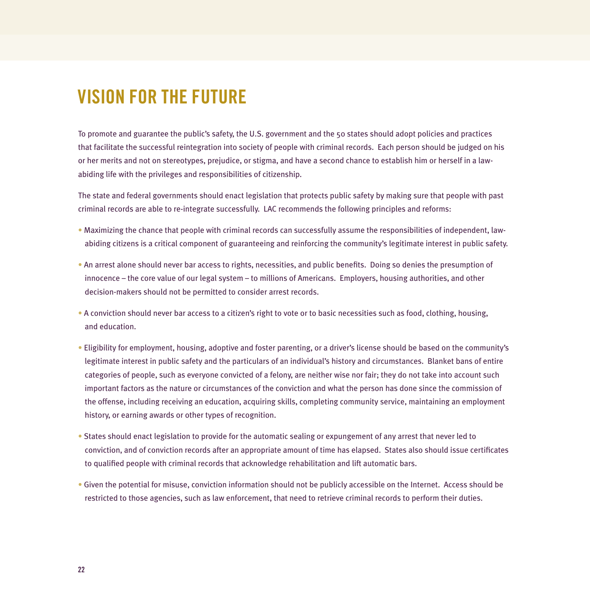# **VISION FOR THE FUTURE**

To promote and guarantee the public's safety, the U.S. government and the 50 states should adopt policies and practices that facilitate the successful reintegration into society of people with criminal records. Each person should be judged on his or her merits and not on stereotypes, prejudice, or stigma, and have a second chance to establish him or herself in a lawabiding life with the privileges and responsibilities of citizenship.

The state and federal governments should enact legislation that protects public safety by making sure that people with past criminal records are able to re-integrate successfully. LAC recommends the following principles and reforms:

- Maximizing the chance that people with criminal records can successfully assume the responsibilities of independent, lawabiding citizens is a critical component of guaranteeing and reinforcing the community's legitimate interest in public safety.
- An arrest alone should never bar access to rights, necessities, and public benefits. Doing so denies the presumption of innocence – the core value of our legal system – to millions of Americans. Employers, housing authorities, and other decision-makers should not be permitted to consider arrest records.
- A conviction should never bar access to a citizen's right to vote or to basic necessities such as food, clothing, housing, and education.
- Eligibility for employment, housing, adoptive and foster parenting, or a driver's license should be based on the community's legitimate interest in public safety and the particulars of an individual's history and circumstances. Blanket bans of entire categories of people, such as everyone convicted of a felony, are neither wise nor fair; they do not take into account such important factors as the nature or circumstances of the conviction and what the person has done since the commission of the offense, including receiving an education, acquiring skills, completing community service, maintaining an employment history, or earning awards or other types of recognition.
- States should enact legislation to provide for the automatic sealing or expungement of any arrest that never led to conviction, and of conviction records after an appropriate amount of time has elapsed. States also should issue certificates to qualified people with criminal records that acknowledge rehabilitation and lift automatic bars.
- Given the potential for misuse, conviction information should not be publicly accessible on the Internet. Access should be restricted to those agencies, such as law enforcement, that need to retrieve criminal records to perform their duties.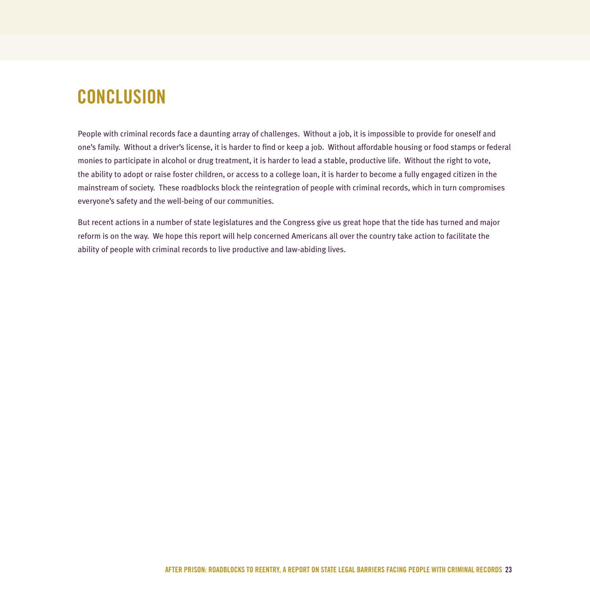# **CONCLUSION**

People with criminal records face a daunting array of challenges. Without a job, it is impossible to provide for oneself and one's family. Without a driver's license, it is harder to find or keep a job. Without affordable housing or food stamps or federal monies to participate in alcohol or drug treatment, it is harder to lead a stable, productive life. Without the right to vote, the ability to adopt or raise foster children, or access to a college loan, it is harder to become a fully engaged citizen in the mainstream of society. These roadblocks block the reintegration of people with criminal records, which in turn compromises everyone's safety and the well-being of our communities.

But recent actions in a number of state legislatures and the Congress give us great hope that the tide has turned and major reform is on the way. We hope this report will help concerned Americans all over the country take action to facilitate the ability of people with criminal records to live productive and law-abiding lives.